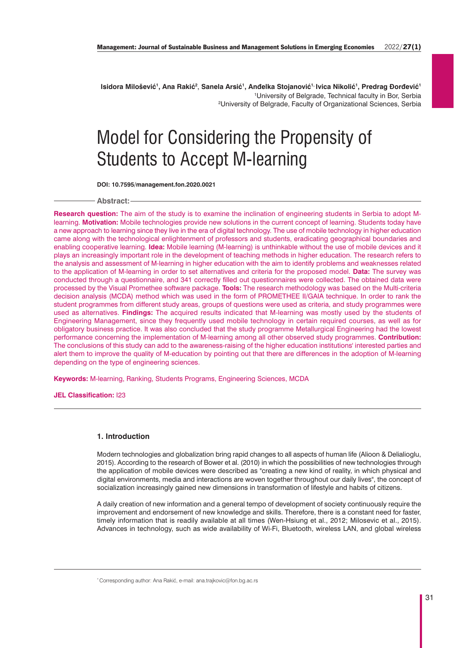**Isidora Milošević1, Ana Rakić2**, **Sanela Arsić1, Anđelka Stojanović1, Ivica Nikolić1, Predrag Đorđević1** 1 University of Belgrade, Technical faculty in Bor, Serbia 2 University of Belgrade, Faculty of Organizational Sciences, Serbia

# Model for Considering the Propensity of Students to Accept M-learning

**DOI: 10.7595/management.fon.2020.0021**

**Abstract:**

**Research question:** The aim of the study is to examine the inclination of engineering students in Serbia to adopt Mlearning. **Motivation:** Mobile technologies provide new solutions in the current concept of learning. Students today have a new approach to learning since they live in the era of digital technology. The use of mobile technology in higher education came along with the technological enlightenment of professors and students, eradicating geographical boundaries and enabling cooperative learning. **Idea:** Mobile learning (M-learning) is unthinkable without the use of mobile devices and it plays an increasingly important role in the development of teaching methods in higher education. The research refers to the analysis and assessment of M-learning in higher education with the aim to identify problems and weaknesses related to the application of M-learning in order to set alternatives and criteria for the proposed model. **Data:** The survey was conducted through a questionnaire, and 341 correctly filled out questionnaires were collected. The obtained data were processed by the Visual Promethee software package. **Tools:** The research methodology was based on the Multi-criteria decision analysis (MCDA) method which was used in the form of PROMETHEE II/GAIA technique. In order to rank the student programmes from different study areas, groups of questions were used as criteria, and study programmes were used as alternatives. **Findings:** The acquired results indicated that M-learning was mostly used by the students of Engineering Management, since they frequently used mobile technology in certain required courses, as well as for obligatory business practice. It was also concluded that the study programme Metallurgical Engineering had the lowest performance concerning the implementation of M-learning among all other observed study programmes. **Contribution:** The conclusions of this study can add to the awareness-raising of the higher education institutions' interested parties and alert them to improve the quality of M-education by pointing out that there are differences in the adoption of M-learning depending on the type of engineering sciences.

**Keywords:** M-learning, Ranking, Students Programs, Engineering Sciences, MCDA

**JEL Classification:** I23

# **1. Introduction**

Modern technologies and globalization bring rapid changes to all aspects of human life (Alioon & Delialioglu, 2015). According to the research of Bower et al. (2010) in which the possibilities of new technologies through the application of mobile devices were described as "creating a new kind of reality, in which physical and digital environments, media and interactions are woven together throughout our daily lives", the concept of socialization increasingly gained new dimensions in transformation of lifestyle and habits of citizens.

A daily creation of new information and a general tempo of development of society continuously require the improvement and endorsement of new knowledge and skills. Therefore, there is a constant need for faster, timely information that is readily available at all times (Wen-Hsiung et al., 2012; Milosevic et al., 2015). Advances in technology, such as wide availability of Wi-Fi, Bluetooth, wireless LAN, and global wireless

<sup>\*</sup> Corresponding author: Ana Rakić, e-mail: ana.trajkovic@fon.bg.ac.rs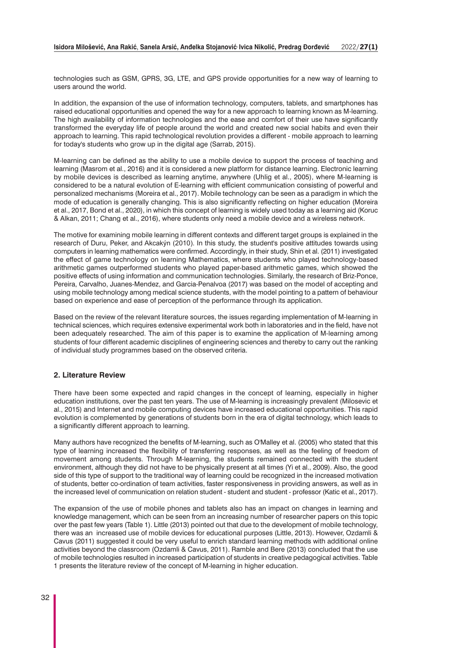technologies such as GSM, GPRS, 3G, LTE, and GPS provide opportunities for a new way of learning to users around the world.

In addition, the expansion of the use of information technology, computers, tablets, and smartphones has raised educational opportunities and opened the way for a new approach to learning known as M-learning. The high availability of information technologies and the ease and comfort of their use have significantly transformed the everyday life of people around the world and created new social habits and even their approach to learning. This rapid technological revolution provides a different - mobile approach to learning for today's students who grow up in the digital age (Sarrab, 2015).

M-learning can be defined as the ability to use a mobile device to support the process of teaching and learning (Masrom et al., 2016) and it is considered a new platform for distance learning. Electronic learning by mobile devices is described as learning anytime, anywhere (Uhlig et al., 2005), where M-learning is considered to be a natural evolution of E-learning with efficient communication consisting of powerful and personalized mechanisms (Moreira et al., 2017). Mobile technology can be seen as a paradigm in which the mode of education is generally changing. This is also significantly reflecting on higher education (Moreira et al., 2017, Bond et al., 2020), in which this concept of learning is widely used today as a learning aid (Koruc & Alkan, 2011; Chang et al., 2016), where students only need a mobile device and a wireless network.

The motive for examining mobile learning in different contexts and different target groups is explained in the research of Duru, Peker, and Akcakýn (2010). In this study, the student's positive attitudes towards using computers in learning mathematics were confirmed. Accordingly, in their study, Shin et al. (2011) investigated the effect of game technology on learning Mathematics, where students who played technology-based arithmetic games outperformed students who played paper-based arithmetic games, which showed the positive effects of using information and communication technologies. Similarly, the research of Briz-Ponce, Pereira, Carvalho, Juanes-Mendez, and Garcia-Penalvoa (2017) was based on the model of accepting and using mobile technology among medical science students, with the model pointing to a pattern of behaviour based on experience and ease of perception of the performance through its application.

Based on the review of the relevant literature sources, the issues regarding implementation of M-learning in technical sciences, which requires extensive experimental work both in laboratories and in the field, have not been adequately researched. The aim of this paper is to examine the application of M-learning among students of four different academic disciplines of engineering sciences and thereby to carry out the ranking of individual study programmes based on the observed criteria.

## **2. Literature Review**

There have been some expected and rapid changes in the concept of learning, especially in higher education institutions, over the past ten years. The use of M-learning is increasingly prevalent (Milosevic et al., 2015) and Internet and mobile computing devices have increased educational opportunities. This rapid evolution is complemented by generations of students born in the era of digital technology, which leads to a significantly different approach to learning.

Many authors have recognized the benefits of M-learning, such as O'Malley et al. (2005) who stated that this type of learning increased the flexibility of transferring responses, as well as the feeling of freedom of movement among students. Through M-learning, the students remained connected with the student environment, although they did not have to be physically present at all times (Yi et al., 2009). Also, the good side of this type of support to the traditional way of learning could be recognized in the increased motivation of students, better co-ordination of team activities, faster responsiveness in providing answers, as well as in the increased level of communication on relation student - student and student - professor (Katic et al., 2017).

The expansion of the use of mobile phones and tablets also has an impact on changes in learning and knowledge management, which can be seen from an increasing number of researcher papers on this topic over the past few years (Table 1). Little (2013) pointed out that due to the development of mobile technology, there was an increased use of mobile devices for educational purposes (Little, 2013). However, Ozdamli & Cavus (2011) suggested it could be very useful to enrich standard learning methods with additional online activities beyond the classroom (Ozdamli & Cavus, 2011). Ramble and Bere (2013) concluded that the use of mobile technologies resulted in increased participation of students in creative pedagogical activities. Table 1 presents the literature review of the concept of M-learning in higher education.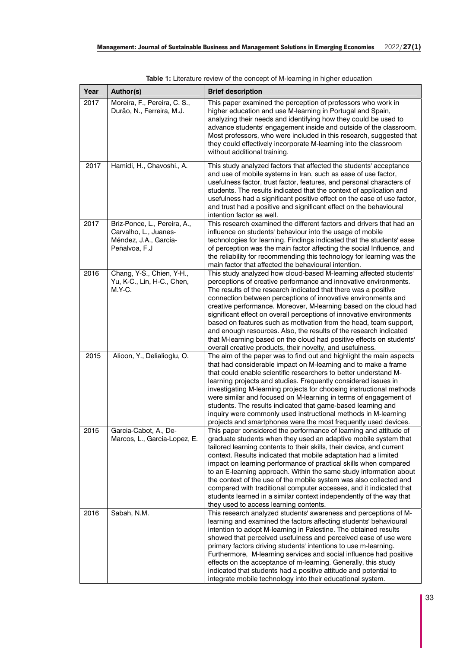| Year | Author(s)                                                                                       | <b>Brief description</b>                                                                                                                                                                                                                                                                                                                                                                                                                                                                                                                                                                                                                                                                              |
|------|-------------------------------------------------------------------------------------------------|-------------------------------------------------------------------------------------------------------------------------------------------------------------------------------------------------------------------------------------------------------------------------------------------------------------------------------------------------------------------------------------------------------------------------------------------------------------------------------------------------------------------------------------------------------------------------------------------------------------------------------------------------------------------------------------------------------|
| 2017 | Moreira, F., Pereira, C. S.,<br>Durão, N., Ferreira, M.J.                                       | This paper examined the perception of professors who work in<br>higher education and use M-learning in Portugal and Spain,<br>analyzing their needs and identifying how they could be used to<br>advance students' engagement inside and outside of the classroom.<br>Most professors, who were included in this research, suggested that<br>they could effectively incorporate M-learning into the classroom<br>without additional training.                                                                                                                                                                                                                                                         |
| 2017 | Hamidi, H., Chavoshi., A.                                                                       | This study analyzed factors that affected the students' acceptance<br>and use of mobile systems in Iran, such as ease of use factor,<br>usefulness factor, trust factor, features, and personal characters of<br>students. The results indicated that the context of application and<br>usefulness had a significant positive effect on the ease of use factor,<br>and trust had a positive and significant effect on the behavioural<br>intention factor as well.                                                                                                                                                                                                                                    |
| 2017 | Briz-Ponce, L., Pereira, A.,<br>Carvalho, L., Juanes-<br>Méndez, J.A., García-<br>Peñalvoa, F.J | This research examined the different factors and drivers that had an<br>influence on students' behaviour into the usage of mobile<br>technologies for learning. Findings indicated that the students' ease<br>of perception was the main factor affecting the social Influence, and<br>the reliability for recommending this technology for learning was the<br>main factor that affected the behavioural intention.                                                                                                                                                                                                                                                                                  |
| 2016 | Chang, Y-S., Chien, Y-H.,<br>Yu, K-C., Lin, H-C., Chen,<br>$M.Y-C.$                             | This study analyzed how cloud-based M-learning affected students'<br>perceptions of creative performance and innovative environments.<br>The results of the research indicated that there was a positive<br>connection between perceptions of innovative environments and<br>creative performance. Moreover, M-learning based on the cloud had<br>significant effect on overall perceptions of innovative environments<br>based on features such as motivation from the head, team support,<br>and enough resources. Also, the results of the research indicated<br>that M-learning based on the cloud had positive effects on students'<br>overall creative products, their novelty, and usefulness. |
| 2015 | Alioon, Y., Delialioglu, O.                                                                     | The aim of the paper was to find out and highlight the main aspects<br>that had considerable impact on M-learning and to make a frame<br>that could enable scientific researchers to better understand M-<br>learning projects and studies. Frequently considered issues in<br>investigating M-learning projects for choosing instructional methods<br>were similar and focused on M-learning in terms of engagement of<br>students. The results indicated that game-based learning and<br>inquiry were commonly used instructional methods in M-learning<br>projects and smartphones were the most frequently used devices.                                                                          |
| 2015 | Garcia-Cabot, A., De-<br>Marcos, L., Garcia-Lopez, E.                                           | This paper considered the performance of learning and attitude of<br>graduate students when they used an adaptive mobile system that<br>tailored learning contents to their skills, their device, and current<br>context. Results indicated that mobile adaptation had a limited<br>impact on learning performance of practical skills when compared<br>to an E-learning approach. Within the same study information about<br>the context of the use of the mobile system was also collected and<br>compared with traditional computer accesses, and it indicated that<br>students learned in a similar context independently of the way that<br>they used to access learning contents.               |
| 2016 | Sabah, N.M.                                                                                     | This research analyzed students' awareness and perceptions of M-<br>learning and examined the factors affecting students' behavioural<br>intention to adopt M-learning in Palestine. The obtained results<br>showed that perceived usefulness and perceived ease of use were<br>primary factors driving students' intentions to use m-learning.<br>Furthermore, M-learning services and social influence had positive<br>effects on the acceptance of m-learning. Generally, this study<br>indicated that students had a positive attitude and potential to<br>integrate mobile technology into their educational system.                                                                             |

**Table 1:** Literature review of the concept of M-learning in higher education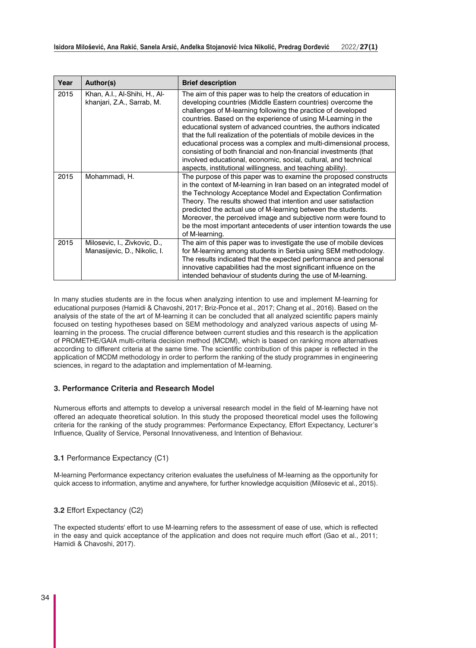| Year | Author(s)                                                    | <b>Brief description</b>                                                                                                                                                                                                                                                                                                                                                                                                                                                                                                                                                                                                                                                            |
|------|--------------------------------------------------------------|-------------------------------------------------------------------------------------------------------------------------------------------------------------------------------------------------------------------------------------------------------------------------------------------------------------------------------------------------------------------------------------------------------------------------------------------------------------------------------------------------------------------------------------------------------------------------------------------------------------------------------------------------------------------------------------|
| 2015 | Khan, A.I., Al-Shihi, H., Al-<br>khanjari, Z.A., Sarrab, M.  | The aim of this paper was to help the creators of education in<br>developing countries (Middle Eastern countries) overcome the<br>challenges of M-learning following the practice of developed<br>countries. Based on the experience of using M-Learning in the<br>educational system of advanced countries, the authors indicated<br>that the full realization of the potentials of mobile devices in the<br>educational process was a complex and multi-dimensional process,<br>consisting of both financial and non-financial investments (that<br>involved educational, economic, social, cultural, and technical<br>aspects, institutional willingness, and teaching ability). |
| 2015 | Mohammadi, H.                                                | The purpose of this paper was to examine the proposed constructs<br>in the context of M-learning in Iran based on an integrated model of<br>the Technology Acceptance Model and Expectation Confirmation<br>Theory. The results showed that intention and user satisfaction<br>predicted the actual use of M-learning between the students.<br>Moreover, the perceived image and subjective norm were found to<br>be the most important antecedents of user intention towards the use<br>of M-learning.                                                                                                                                                                             |
| 2015 | Milosevic, I., Zivkovic, D.,<br>Manasijevic, D., Nikolic, I. | The aim of this paper was to investigate the use of mobile devices<br>for M-learning among students in Serbia using SEM methodology.<br>The results indicated that the expected performance and personal<br>innovative capabilities had the most significant influence on the<br>intended behaviour of students during the use of M-learning.                                                                                                                                                                                                                                                                                                                                       |

In many studies students are in the focus when analyzing intention to use and implement M-learning for educational purposes (Hamidi & Chavoshi, 2017; Briz-Ponce et al., 2017; Chang et al., 2016). Based on the analysis of the state of the art of M-learning it can be concluded that all analyzed scientific papers mainly focused on testing hypotheses based on SEM methodology and analyzed various aspects of using Mlearning in the process. The crucial difference between current studies and this research is the application of PROMETHE/GAIA multi-criteria decision method (MCDM), which is based on ranking more alternatives according to different criteria at the same time. The scientific contribution of this paper is reflected in the application of MCDM methodology in order to perform the ranking of the study programmes in engineering sciences, in regard to the adaptation and implementation of M-learning.

# **3. Performance Criteria and Research Model**

Numerous efforts and attempts to develop a universal research model in the field of M-learning have not offered an adequate theoretical solution. In this study the proposed theoretical model uses the following criteria for the ranking of the study programmes: Performance Expectancy, Effort Expectancy, Lecturer's Influence, Quality of Service, Personal Innovativeness, and Intention of Behaviour.

## **3.1** Performance Expectancy (C1)

M-learning Performance expectancy criterion evaluates the usefulness of M-learning as the opportunity for quick access to information, anytime and anywhere, for further knowledge acquisition (Milosevic et al., 2015).

## **3.2** Effort Expectancy (C2)

The expected students' effort to use M-learning refers to the assessment of ease of use, which is reflected in the easy and quick acceptance of the application and does not require much effort (Gao et al., 2011; Hamidi & Chavoshi, 2017).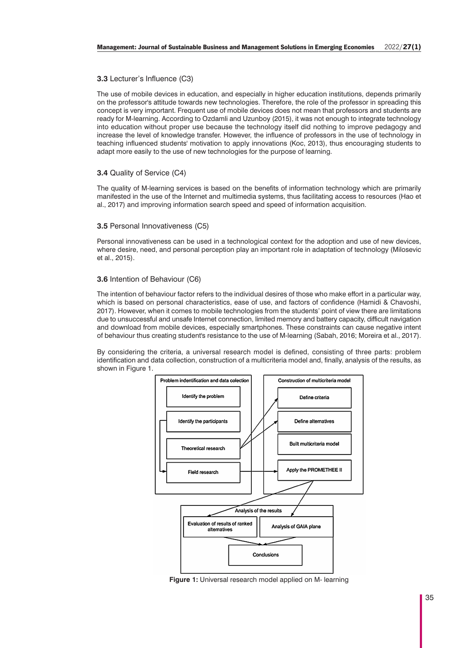## **3.3** Lecturer's Influence (C3)

The use of mobile devices in education, and especially in higher education institutions, depends primarily on the professor's attitude towards new technologies. Therefore, the role of the professor in spreading this concept is very important. Frequent use of mobile devices does not mean that professors and students are ready for M-learning. According to Ozdamli and Uzunboy (2015), it was not enough to integrate technology into education without proper use because the technology itself did nothing to improve pedagogy and increase the level of knowledge transfer. However, the influence of professors in the use of technology in teaching influenced students' motivation to apply innovations (Koc, 2013), thus encouraging students to adapt more easily to the use of new technologies for the purpose of learning.

# **3.4** Quality of Service (C4)

The quality of M-learning services is based on the benefits of information technology which are primarily manifested in the use of the Internet and multimedia systems, thus facilitating access to resources (Hao et al., 2017) and improving information search speed and speed of information acquisition.

## **3.5** Personal Innovativeness (C5)

Personal innovativeness can be used in a technological context for the adoption and use of new devices, where desire, need, and personal perception play an important role in adaptation of technology (Milosevic et al., 2015).

## **3.6** Intention of Behaviour (C6)

The intention of behaviour factor refers to the individual desires of those who make effort in a particular way, which is based on personal characteristics, ease of use, and factors of confidence (Hamidi & Chavoshi, 2017). However, when it comes to mobile technologies from the students' point of view there are limitations due to unsuccessful and unsafe Internet connection, limited memory and battery capacity, difficult navigation and download from mobile devices, especially smartphones. These constraints can cause negative intent of behaviour thus creating student's resistance to the use of M-learning (Sabah, 2016; Moreira et al., 2017).

By considering the criteria, a universal research model is defined, consisting of three parts: problem identification and data collection, construction of a multicriteria model and, finally, analysis of the results, as shown in Figure 1.



**Figure 1:** Universal research model applied on M- learning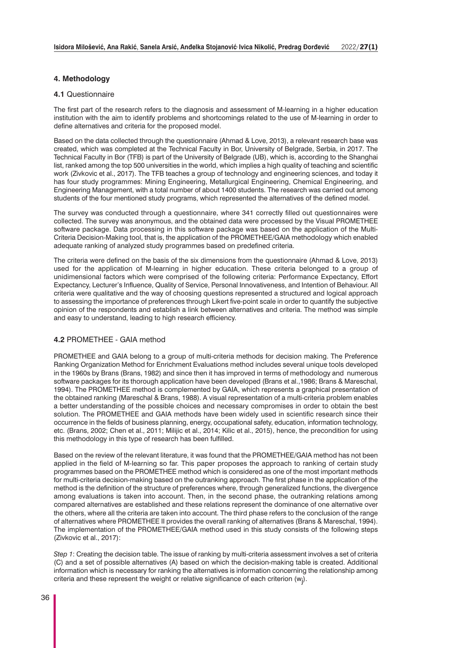## **4. Methodology**

### **4.1** Questionnaire

The first part of the research refers to the diagnosis and assessment of M-learning in a higher education institution with the aim to identify problems and shortcomings related to the use of M-learning in order to define alternatives and criteria for the proposed model.

Based on the data collected through the questionnaire (Ahmad & Love, 2013), a relevant research base was created, which was completed at the Technical Faculty in Bor, University of Belgrade, Serbia, in 2017. The Technical Faculty in Bor (TFB) is part of the University of Belgrade (UB), which is, according to the Shanghai list, ranked among the top 500 universities in the world, which implies a high quality of teaching and scientific work (Zivkovic et al., 2017). The TFB teaches a group of technology and engineering sciences, and today it has four study programmes: Mining Engineering, Metallurgical Engineering, Chemical Engineering, and Engineering Management, with a total number of about 1400 students. The research was carried out among students of the four mentioned study programs, which represented the alternatives of the defined model.

The survey was conducted through a questionnaire, where 341 correctly filled out questionnaires were collected. The survey was anonymous, and the obtained data were processed by the Visual PROMETHEE software package. Data processing in this software package was based on the application of the Multi-Criteria Decision-Making tool, that is, the application of the PROMETHEE/GAIA methodology which enabled adequate ranking of analyzed study programmes based on predefined criteria.

The criteria were defined on the basis of the six dimensions from the questionnaire (Ahmad & Love, 2013) used for the application of M-learning in higher education. These criteria belonged to a group of unidimensional factors which were comprised of the following criteria: Performance Expectancy, Effort Expectancy, Lecturer's Influence, Quality of Service, Personal Innovativeness, and Intention of Behaviour. All criteria were qualitative and the way of choosing questions represented a structured and logical approach to assessing the importance of preferences through Likert five-point scale in order to quantify the subjective opinion of the respondents and establish a link between alternatives and criteria. The method was simple and easy to understand, leading to high research efficiency.

## **4.2** PROMETHEE - GAIA method

PROMETHEE and GAIA belong to a group of multi-criteria methods for decision making. The Preference Ranking Organization Method for Enrichment Evaluations method includes several unique tools developed in the 1960s by Brans (Brans, 1982) and since then it has improved in terms of methodology and numerous software packages for its thorough application have been developed (Brans et al.,1986; Brans & Mareschal, 1994). The PROMETHEE method is complemented by GAIA, which represents a graphical presentation of the obtained ranking (Mareschal & Brans, 1988). A visual representation of a multi-criteria problem enables a better understanding of the possible choices and necessary compromises in order to obtain the best solution. The PROMETHEE and GAIA methods have been widely used in scientific research since their occurrence in the fields of business planning, energy, occupational safety, education, information technology, etc. (Brans, 2002; Chen et al., 2011; Milijic et al., 2014; Kilic et al., 2015), hence, the precondition for using this methodology in this type of research has been fulfilled.

Based on the review of the relevant literature, it was found that the PROMETHEE/GAIA method has not been applied in the field of M-learning so far. This paper proposes the approach to ranking of certain study programmes based on the PROMETHEE method which is considered as one of the most important methods for multi-criteria decision-making based on the outranking approach. The first phase in the application of the method is the definition of the structure of preferences where, through generalized functions, the divergence among evaluations is taken into account. Then, in the second phase, the outranking relations among compared alternatives are established and these relations represent the dominance of one alternative over the others, where all the criteria are taken into account. The third phase refers to the conclusion of the range of alternatives where PROMETHEE II provides the overall ranking of alternatives (Brans & Mareschal, 1994). The implementation of the PROMETHEE/GAIA method used in this study consists of the following steps (Zivkovic et al., 2017):

*Step 1*: Creating the decision table. The issue of ranking by multi-criteria assessment involves a set of criteria (C) and a set of possible alternatives (A) based on which the decision-making table is created. Additional information which is necessary for ranking the alternatives is information concerning the relationship among criteria and these represent the weight or relative significance of each criterion  $(w_j)$ .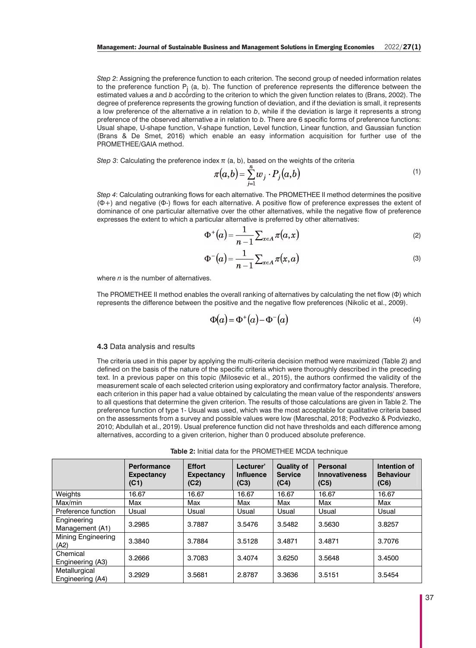*Step 2*: Assigning the preference function to each criterion. The second group of needed information relates to the preference function  $P_i$  (a, b). The function of preference represents the difference between the estimated values *a* and *b* according to the criterion to which the given function relates to (Brans, 2002). The degree of preference represents the growing function of deviation, and if the deviation is small, it represents a low preference of the alternative *a* in relation to *b*, while if the deviation is large it represents a strong preference of the observed alternative *a* in relation to *b*. There are 6 specific forms of preference functions: Usual shape, U-shape function, V-shape function, Level function, Linear function, and Gaussian function (Brans & De Smet, 2016) which enable an easy information acquisition for further use of the PROMETHEE/GAIA method.

*Step 3*: Calculating the preference index  $\pi$  (a, b), based on the weights of the criteria

$$
\pi(a,b) = \sum_{j=1}^{\infty} w_j \cdot P_j(a,b) \tag{1}
$$

*Step 4*: Calculating outranking flows for each alternative. The PROMETHEE II method determines the positive (Φ+) and negative (Φ-) flows for each alternative. A positive flow of preference expresses the extent of dominance of one particular alternative over the other alternatives, while the negative flow of preference expresses the extent to which a particular alternative is preferred by other alternatives:

$$
\Phi^+(a) = \frac{1}{n-1} \sum_{x \in A} \pi(a, x) \tag{2}
$$

$$
\Phi^{-}(a) = \frac{1}{n-1} \sum_{x \in A} \pi(x, a)
$$
\n(3)

where *n* is the number of alternatives.

The PROMETHEE II method enables the overall ranking of alternatives by calculating the net flow (Φ) which represents the difference between the positive and the negative flow preferences (Nikolic et al., 2009).

$$
\Phi(\alpha) = \Phi^+(\alpha) - \Phi^-(\alpha) \tag{4}
$$

#### **4.3** Data analysis and results

The criteria used in this paper by applying the multi-criteria decision method were maximized (Table 2) and defined on the basis of the nature of the specific criteria which were thoroughly described in the preceding text. In a previous paper on this topic (Milosevic et al., 2015), the authors confirmed the validity of the measurement scale of each selected criterion using exploratory and confirmatory factor analysis. Therefore, each criterion in this paper had a value obtained by calculating the mean value of the respondents' answers to all questions that determine the given criterion. The results of those calculations are given in Table 2. The preference function of type 1- Usual was used, which was the most acceptable for qualitative criteria based on the assessments from a survey and possible values were low (Mareschal, 2018; Podvezko & Podviezko, 2010; Abdullah et al., 2019). Usual preference function did not have thresholds and each difference among alternatives, according to a given criterion, higher than 0 produced absolute preference.

**Table 2:** Initial data for the PROMETHEE MCDA technique

|                                   | <b>Performance</b><br><b>Expectancy</b><br>(C1) | <b>Effort</b><br><b>Expectancy</b><br>(C2) | Lecturer'<br><b>Influence</b><br>(C3) | <b>Quality of</b><br><b>Service</b><br>(C4) | <b>Personal</b><br><b>Innovativeness</b><br>(C5) | Intention of<br><b>Behaviour</b><br>(C6) |
|-----------------------------------|-------------------------------------------------|--------------------------------------------|---------------------------------------|---------------------------------------------|--------------------------------------------------|------------------------------------------|
| Weights                           | 16.67                                           | 16.67                                      | 16.67                                 | 16.67                                       | 16.67                                            | 16.67                                    |
| Max/min                           | Max                                             | Max                                        | Max                                   | Max                                         | Max                                              | Max                                      |
| Preference function               | Usual                                           | Usual                                      | Usual                                 | Usual                                       | Usual                                            | Usual                                    |
| Engineering<br>Management (A1)    | 3.2985                                          | 3.7887                                     | 3.5476                                | 3.5482                                      | 3.5630                                           | 3.8257                                   |
| <b>Mining Engineering</b><br>(A2) | 3.3840                                          | 3.7884                                     | 3.5128                                | 3.4871                                      | 3.4871                                           | 3.7076                                   |
| Chemical<br>Engineering (A3)      | 3.2666                                          | 3.7083                                     | 3.4074                                | 3.6250                                      | 3.5648                                           | 3.4500                                   |
| Metallurgical<br>Engineering (A4) | 3.2929                                          | 3.5681                                     | 2.8787                                | 3.3636                                      | 3.5151                                           | 3.5454                                   |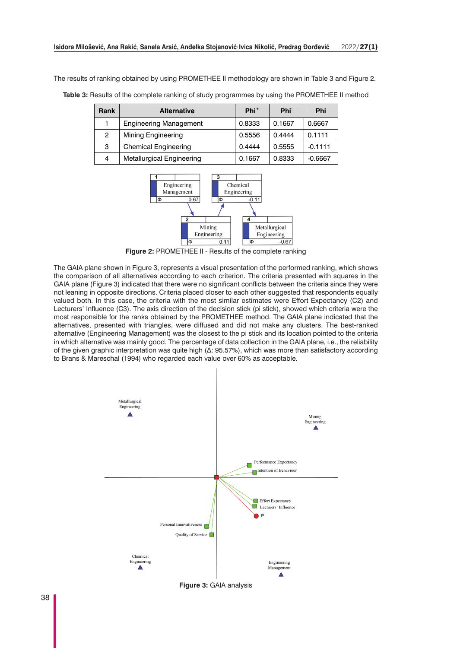The results of ranking obtained by using PROMETHEE II methodology are shown in Table 3 and Figure 2.

| Rank | <b>Alternative</b>               | $Phi+$ | Phi <sup>-</sup> | <b>Phi</b> |
|------|----------------------------------|--------|------------------|------------|
|      | <b>Engineering Management</b>    | 0.8333 | 0.1667           | 0.6667     |
| 2    | Mining Engineering               | 0.5556 | 0.4444           | 0.1111     |
| 3    | <b>Chemical Engineering</b>      | 0.4444 | 0.5555           | $-0.1111$  |
| 4    | <b>Metallurgical Engineering</b> | 0.1667 | 0.8333           | $-0.6667$  |

**Table 3:** Results of the complete ranking of study programmes by using the PROMETHEE II method



**Figure 2:** PROMETHEE II - Results of the complete ranking

The GAIA plane shown in Figure 3, represents a visual presentation of the performed ranking, which shows the comparison of all alternatives according to each criterion. The criteria presented with squares in the GAIA plane (Figure 3) indicated that there were no significant conflicts between the criteria since they were not leaning in opposite directions. Criteria placed closer to each other suggested that respondents equally valued both. In this case, the criteria with the most similar estimates were Effort Expectancy (C2) and Lecturers' Influence (C3). The axis direction of the decision stick (pi stick), showed which criteria were the most responsible for the ranks obtained by the PROMETHEE method. The GAIA plane indicated that the alternatives, presented with triangles, were diffused and did not make any clusters. The best-ranked alternative (Engineering Management) was the closest to the pi stick and its location pointed to the criteria in which alternative was mainly good. The percentage of data collection in the GAIA plane, i.e., the reliability of the given graphic interpretation was quite high (Δ: 95.57%), which was more than satisfactory according to Brans & Mareschal (1994) who regarded each value over 60% as acceptable.



**Figure 3:** GAIA analysis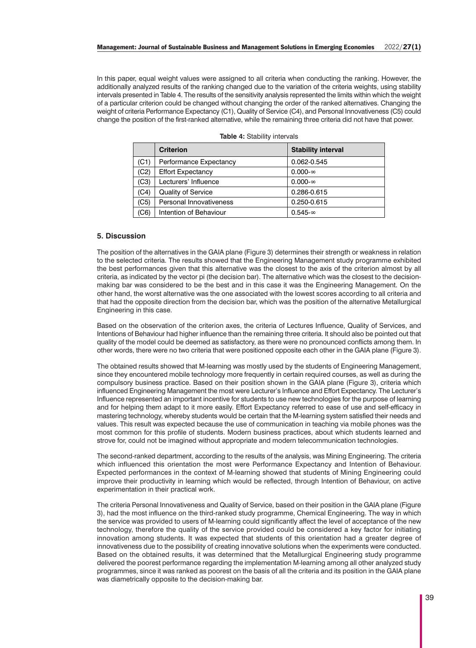In this paper, equal weight values were assigned to all criteria when conducting the ranking. However, the additionally analyzed results of the ranking changed due to the variation of the criteria weights, using stability intervals presented in Table 4. The results of the sensitivity analysis represented the limits within which the weight of a particular criterion could be changed without changing the order of the ranked alternatives. Changing the weight of criteria Performance Expectancy (C1), Quality of Service (C4), and Personal Innovativeness (C5) could change the position of the first-ranked alternative, while the remaining three criteria did not have that power.

|      | <b>Criterion</b>          | <b>Stability interval</b> |
|------|---------------------------|---------------------------|
| (C1) | Performance Expectancy    | 0.062-0.545               |
| (C2) | <b>Effort Expectancy</b>  | $0.000 - \infty$          |
| (C3) | Lecturers' Influence      | $0.000 - \infty$          |
| (C4) | <b>Quality of Service</b> | 0.286-0.615               |
| (C5) | Personal Innovativeness   | 0.250-0.615               |
| (C6) | Intention of Behaviour    | $0.545 - \infty$          |

|  |  | <b>Table 4: Stability intervals</b> |  |  |
|--|--|-------------------------------------|--|--|
|--|--|-------------------------------------|--|--|

## **5. Discussion**

The position of the alternatives in the GAIA plane (Figure 3) determines their strength or weakness in relation to the selected criteria. The results showed that the Engineering Management study programme exhibited the best performances given that this alternative was the closest to the axis of the criterion almost by all criteria, as indicated by the vector pi (the decision bar). The alternative which was the closest to the decisionmaking bar was considered to be the best and in this case it was the Engineering Management. On the other hand, the worst alternative was the one associated with the lowest scores according to all criteria and that had the opposite direction from the decision bar, which was the position of the alternative Metallurgical Engineering in this case.

Based on the observation of the criterion axes, the criteria of Lectures Influence, Quality of Services, and Intentions of Behaviour had higher influence than the remaining three criteria. It should also be pointed out that quality of the model could be deemed as satisfactory, as there were no pronounced conflicts among them. In other words, there were no two criteria that were positioned opposite each other in the GAIA plane (Figure 3).

The obtained results showed that M-learning was mostly used by the students of Engineering Management, since they encountered mobile technology more frequently in certain required courses, as well as during the compulsory business practice. Based on their position shown in the GAIA plane (Figure 3), criteria which influenced Engineering Management the most were Lecturer's Influence and Effort Expectancy. The Lecturer's Influence represented an important incentive for students to use new technologies for the purpose of learning and for helping them adapt to it more easily. Effort Expectancy referred to ease of use and self-efficacy in mastering technology, whereby students would be certain that the M-learning system satisfied their needs and values. This result was expected because the use of communication in teaching via mobile phones was the most common for this profile of students. Modern business practices, about which students learned and strove for, could not be imagined without appropriate and modern telecommunication technologies.

The second-ranked department, according to the results of the analysis, was Mining Engineering. The criteria which influenced this orientation the most were Performance Expectancy and Intention of Behaviour. Expected performances in the context of M-learning showed that students of Mining Engineering could improve their productivity in learning which would be reflected, through Intention of Behaviour, on active experimentation in their practical work.

The criteria Personal Innovativeness and Quality of Service, based on their position in the GAIA plane (Figure 3), had the most influence on the third-ranked study programme, Chemical Engineering. The way in which the service was provided to users of M-learning could significantly affect the level of acceptance of the new technology, therefore the quality of the service provided could be considered a key factor for initiating innovation among students. It was expected that students of this orientation had a greater degree of innovativeness due to the possibility of creating innovative solutions when the experiments were conducted. Based on the obtained results, it was determined that the Metallurgical Engineering study programme delivered the poorest performance regarding the implementation M-learning among all other analyzed study programmes, since it was ranked as poorest on the basis of all the criteria and its position in the GAIA plane was diametrically opposite to the decision-making bar.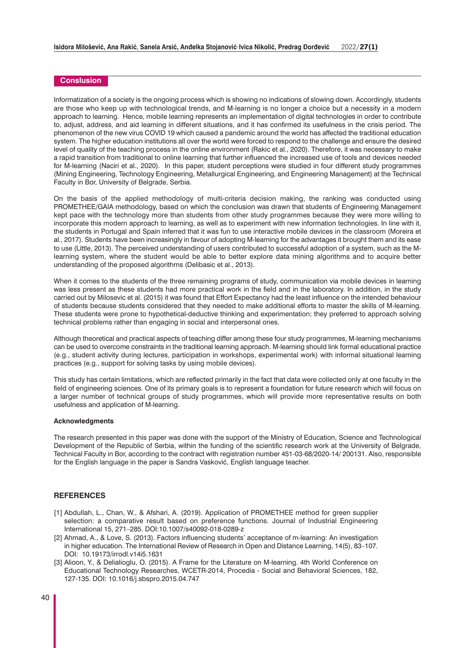#### **Conslusion**

Informatization of a society is the ongoing process which is showing no indications of slowing down. Accordingly, students are those who keep up with technological trends, and M-learning is no longer a choice but a necessity in a modern approach to learning. Hence, mobile learning represents an implementation of digital technologies in order to contribute to, adjust, address, and aid learning in different situations, and it has confirmed its usefulness in the crisis period. The phenomenon of the new virus COVID 19 which caused a pandemic around the world has affected the traditional education system. The higher education institutions all over the world were forced to respond to the challenge and ensure the desired level of quality of the teaching process in the online environment (Rakic et al., 2020). Therefore, it was necessary to make a rapid transition from traditional to online learning that further influenced the increased use of tools and devices needed for M-learning (Naciri et al., 2020). In this paper, student perceptions were studied in four different study programmes (Mining Engineering, Technology Engineering, Metallurgical Engineering, and Engineering Management) at the Technical Faculty in Bor, University of Belgrade, Serbia.

On the basis of the applied methodology of multi-criteria decision making, the ranking was conducted using PROMETHEE/GAIA methodology, based on which the conclusion was drawn that students of Engineering Management kept pace with the technology more than students from other study programmes because they were more willing to incorporate this modern approach to learning, as well as to experiment with new information technologies. In line with it, the students in Portugal and Spain inferred that it was fun to use interactive mobile devices in the classroom (Moreira et al., 2017). Students have been increasingly in favour of adopting M-learning for the advantages it brought them and its ease to use (Little, 2013). The perceived understanding of users contributed to successful adoption of a system, such as the Mlearning system, where the student would be able to better explore data mining algorithms and to acquire better understanding of the proposed algorithms (Delibasic et al., 2013).

When it comes to the students of the three remaining programs of study, communication via mobile devices in learning was less present as these students had more practical work in the field and in the laboratory. In addition, in the study carried out by Milosevic et al. (2015) it was found that Effort Expectancy had the least influence on the intended behaviour of students because students considered that they needed to make additional efforts to master the skills of M-learning. These students were prone to hypothetical-deductive thinking and experimentation; they preferred to approach solving technical problems rather than engaging in social and interpersonal ones.

Although theoretical and practical aspects of teaching differ among these four study programmes, M-learning mechanisms can be used to overcome constraints in the traditional learning approach. M-learning should link formal educational practice (e.g., student activity during lectures, participation in workshops, experimental work) with informal situational learning practices (e.g., support for solving tasks by using mobile devices).

This study has certain limitations, which are reflected primarily in the fact that data were collected only at one faculty in the field of engineering sciences. One of its primary goals is to represent a foundation for future research which will focus on a larger number of technical groups of study programmes, which will provide more representative results on both usefulness and application of M-learning.

#### **Acknowledgments**

The research presented in this paper was done with the support of the Ministry of Education, Science and Technological Development of the Republic of Serbia, within the funding of the scientific research work at the University of Belgrade, Technical Faculty in Bor, according to the contract with registration number 451-03-68/2020-14/ 200131. Also, responsible for the English language in the paper is Sandra Vasković, English language teacher.

# **REFERENCES**

- [1] Abdullah, L., Chan, W., & Afshari, A. (2019). Application of PROMETHEE method for green supplier selection: a comparative result based on preference functions. Journal of Industrial Engineering International 15, 271–285. DOI:10.1007/s40092-018-0289-z
- [2] Ahmad, A., & Love, S. (2013). Factors influencing students' acceptance of m-learning: An investigation in higher education. The International Review of Research in Open and Distance Learning, 14(5), 83–107. DOI: 10.19173/irrodl.v14i5.1631
- [3] Alioon, Y., & Delialioglu, O. (2015). A Frame for the Literature on M-learning. 4th World Conference on Educational Technology Researches, WCETR-2014, Procedia - Social and Behavioral Sciences, 182, 127-135. DOI: 10.1016/j.sbspro.2015.04.747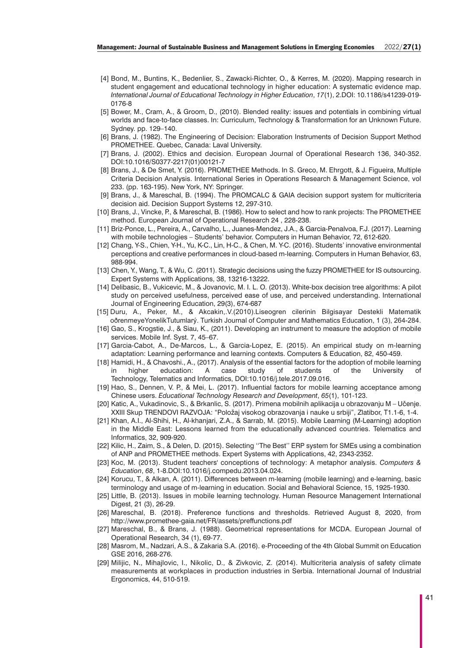- [4] Bond, M., Buntins, K., Bedenlier, S., Zawacki-Richter, O., & Kerres, M. (2020). Mapping research in student engagement and educational technology in higher education: A systematic evidence map. *International Journal of Educational Technology in Higher Education*, *17*(1), 2.DOI: 10.1186/s41239-019- 0176-8
- [5] Bower, M., Cram, A., & Groom, D., (2010). Blended reality: issues and potentials in combining virtual worlds and face-to-face classes. In: Curriculum, Technology & Transformation for an Unknown Future. Sydney. pp. 129–140.
- [6] Brans, J. (1982). The Engineering of Decision: Elaboration Instruments of Decision Support Method PROMETHEE. Quebec, Canada: Laval University.
- [7] Brans, J. (2002). Ethics and decision. European Journal of Operational Research 136, 340-352. DOI:10.1016/S0377-2217(01)00121-7
- [8] Brans, J., & De Smet, Y. (2016). PROMETHEE Methods. In S. Greco, M. Ehrgott, & J. Figueira, Multiple Criteria Decision Analysis. International Series in Operations Research & Management Science, vol 233. (pp. 163-195). New York, NY: Springer.
- [9] Brans, J., & Mareschal, B. (1994). The PROMCALC & GAIA decision support system for multicriteria decision aid. Decision Support Systems 12, 297-310.
- [10] Brans, J., Vincke, P., & Mareschal, B. (1986). How to select and how to rank projects: The PROMETHEE method. European Journal of Operational Research 24 , 228-238.
- [11] Briz-Ponce, L., Pereira, A., Carvalho, L., Juanes-Mendez, J.A., & Garcia-Penalvoa, F.J. (2017). Learning with mobile technologies – Students' behavior. Computers in Human Behavior, 72, 612-620.
- [12] Chang, Y-S., Chien, Y-H., Yu, K-C., Lin, H-C., & Chen, M. Y-C. (2016). Students' innovative environmental perceptions and creative performances in cloud-based m-learning. Computers in Human Behavior, 63, 988-994.
- [13] Chen, Y., Wang, T., & Wu, C. (2011). Strategic decisions using the fuzzy PROMETHEE for IS outsourcing. Expert Systems with Applications, 38, 13216-13222.
- [14] Delibasic, B., Vukicevic, M., & Jovanovic, M. I. L. O. (2013). White-box decision tree algorithms: A pilot study on perceived usefulness, perceived ease of use, and perceived understanding. International Journal of Engineering Education, 29(3), 674-687
- [15] Duru, A., Peker, M., & Akcakin,.V.(2010).Liseogren cilerinin Bilgisayar Destekli Matematik oðrenmeyeYonelikTutumlarý. Turkish Journal of Computer and Mathematics Education, 1 (3), 264-284.
- [16] Gao, S., Krogstie, J., & Siau, K., (2011). Developing an instrument to measure the adoption of mobile services. Mobile Inf. Syst. 7, 45–67.
- [17] Garcia-Cabot, A., De-Marcos, L., & Garcia-Lopez, E. (2015). An empirical study on m-learning adaptation: Learning performance and learning contexts. Computers & Education, 82, 450-459.
- [18] Hamidi, H., & Chavoshi., A., (2017). Analysis of the essential factors for the adoption of mobile learning in higher education: A case study of students of the University of Technology, Telematics and Informatics, DOI:10.1016/j.tele.2017.09.016.
- [19] Hao, S., Dennen, V. P., & Mei, L. (2017). Influential factors for mobile learning acceptance among Chinese users. *Educational Technology Research and Development*, *65*(1), 101-123.
- [20] Katic, A., Vukadinovic, S., & Brkanlic, S. (2017). Primena mobilnih aplikacija u obrazovanju M Učenje. XXIII Skup TRENDOVI RAZVOJA: "Položaj visokog obrazovanja i nauke u srbiji", Zlatibor, T1.1-6, 1-4.
- [21] Khan, A.I., Al-Shihi, H., Al-khanjari, Z.A., & Sarrab, M. (2015). Mobile Learning (M-Learning) adoption in the Middle East: Lessons learned from the educationally advanced countries. Telematics and Informatics, 32, 909-920.
- [22] Kilic, H., Zaim, S., & Delen, D. (2015). Selecting ''The Best'' ERP system for SMEs using a combination of ANP and PROMETHEE methods. Expert Systems with Applications, 42, 2343-2352.
- [23] Koc, M. (2013). Student teachers' conceptions of technology: A metaphor analysis. *Computers & Education*, *68*, 1-8.DOI:10.1016/j.compedu.2013.04.024.
- [24] Korucu, T., & Alkan, A. (2011). Differences between m-learning (mobile learning) and e-learning, basic terminology and usage of m-learning in education. Social and Behavioral Science, 15, 1925-1930.
- [25] Little, B. (2013). Issues in mobile learning technology. Human Resource Management International Digest, 21 (3), 26-29.
- [26] Mareschal, B. (2018). Preference functions and thresholds. Retrieved August 8, 2020, from http://www.promethee-gaia.net/FR/assets/preffunctions.pdf
- [27] Mareschal, B., & Brans, J. (1988). Geometrical representations for MCDA. European Journal of Operational Research, 34 (1), 69-77.
- [28] Masrom, M., Nadzari, A.S., & Zakaria S.A. (2016). e-Proceeding of the 4th Global Summit on Education GSE 2016, 268-276.
- [29] Milijic, N., Mihajlovic, I., Nikolic, D., & Zivkovic, Z. (2014). Multicriteria analysis of safety climate measurements at workplaces in production industries in Serbia. International Journal of Industrial Ergonomics, 44, 510-519.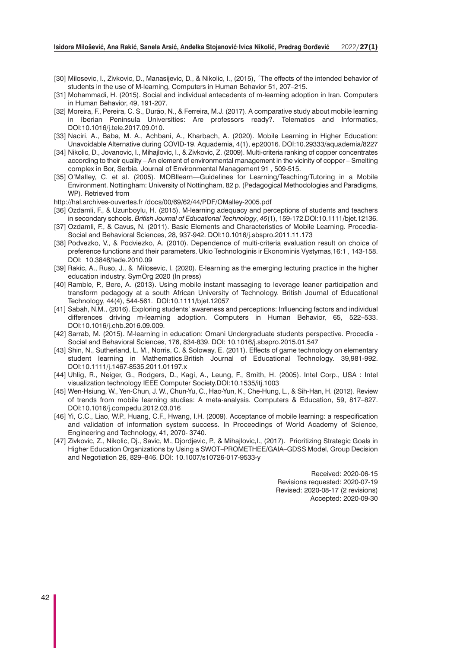- [30] Milosevic, I., Zivkovic, D., Manasijevic, D., & Nikolic, I., (2015), ´The effects of the intended behavior of students in the use of M-learning, Computers in Human Behavior 51, 207–215.
- [31] Mohammadi, H. (2015). Social and individual antecedents of m-learning adoption in Iran. Computers in Human Behavior, 49, 191-207.
- [32] Moreira, F., Pereira, C. S., Durão, N., & Ferreira, M.J. (2017). A comparative study about mobile learning in Iberian Peninsula Universities: Are professors ready?. Telematics and Informatics, DOI:10.1016/j.tele.2017.09.010.
- [33] Naciri, A., Baba, M. A., Achbani, A., Kharbach, A. (2020). Mobile Learning in Higher Education: Unavoidable Alternative during COVID-19. Aquademia, 4(1), ep20016. DOI:10.29333/aquademia/8227
- [34] Nikolic, D., Jovanovic, I., Mihajlovic, I., & Zivkovic, Z. (2009). Multi-criteria ranking of copper concentrates according to their quality – An element of environmental management in the vicinity of copper – Smelting complex in Bor, Serbia. Journal of Environmental Management 91 , 509-515.
- [35] O'Malley, C. et al. (2005). MOBIlearn—Guidelines for Learning/Teaching/Tutoring in a Mobile Environment. Nottingham: University of Nottingham, 82 p. (Pedagogical Methodologies and Paradigms, WP). Retrieved from
- http://hal.archives-ouvertes.fr /docs/00/69/62/44/PDF/OMalley-2005.pdf
- [36] Ozdamli, F., & Uzunboylu, H. (2015). M-learning adequacy and perceptions of students and teachers in secondary schools. *British Journal of Educational Technology*, *46*(1), 159-172.DOI:10.1111/bjet.12136.
- [37] Ozdamli, F., & Cavus, N. (2011). Basic Elements and Characteristics of Mobile Learning. Procedia-Social and Behavioral Sciences, 28, 937-942. DOI:10.1016/j.sbspro.2011.11.173
- [38] Podvezko, V., & Podviezko, A. (2010). Dependence of multi-criteria evaluation result on choice of preference functions and their parameters. Ukio Technologinis ir Ekonominis Vystymas,16:1 , 143-158. DOI: 10.3846/tede.2010.09
- [39] Rakic, A., Ruso, J., & Milosevic, I. (2020). E-learning as the emerging lecturing practice in the higher education industry. SymOrg 2020 (In press)
- [40] Ramble, P., Bere, A. (2013). Using mobile instant massaging to leverage leaner participation and transform pedagogy at a south African University of Technology. British Journal of Educational Technology, 44(4), 544-561. DOI:10.1111/bjet.12057
- [41] Sabah, N.M., (2016). Exploring students' awareness and perceptions: Influencing factors and individual differences driving m-learning adoption. Computers in Human Behavior, 65, 522–533. DOI:10.1016/j.chb.2016.09.009.
- [42] Sarrab, M. (2015). M-learning in education: Omani Undergraduate students perspective. Procedia Social and Behavioral Sciences, 176, 834-839. DOI: 10.1016/j.sbspro.2015.01.547
- [43] Shin, N., Sutherland, L. M., Norris, C. & Soloway, E. (2011). Effects of game technology on elementary student learning in Mathematics.British Journal of Educational Technology. 39,981-992. DOI:10.1111/j.1467-8535.2011.01197.x
- [44] Uhlig, R., Neiger, G., Rodgers, D., Kagi, A., Leung, F., Smith, H. (2005). Intel Corp., USA : Intel visualization technology IEEE Computer Society.DOI:10.1535/itj.1003
- [45] Wen-Hsiung, W., Yen-Chun, J. W., Chun-Yu, C., Hao-Yun, K., Che-Hung, L., & Sih-Han, H. (2012). Review of trends from mobile learning studies: A meta-analysis. Computers & Education, 59, 817–827. DOI:10.1016/j.compedu.2012.03.016
- [46] Yi, C.C., Liao, W.P., Huang, C.F., Hwang, I.H. (2009). Acceptance of mobile learning: a respecification and validation of information system success. In Proceedings of World Academy of Science, Engineering and Technology, 41, 2070- 3740.
- [47] Zivkovic, Z., Nikolic, Dj., Savic, M., Djordjevic, P., & Mihajlovic,I., (2017). Prioritizing Strategic Goals in Higher Education Organizations by Using a SWOT–PROMETHEE/GAIA–GDSS Model, Group Decision and Negotiation 26, 829–846. DOI: 10.1007/s10726-017-9533-y

Received: 2020-06-15 Revisions requested: 2020-07-19 Revised: 2020-08-17 (2 revisions) Accepted: 2020-09-30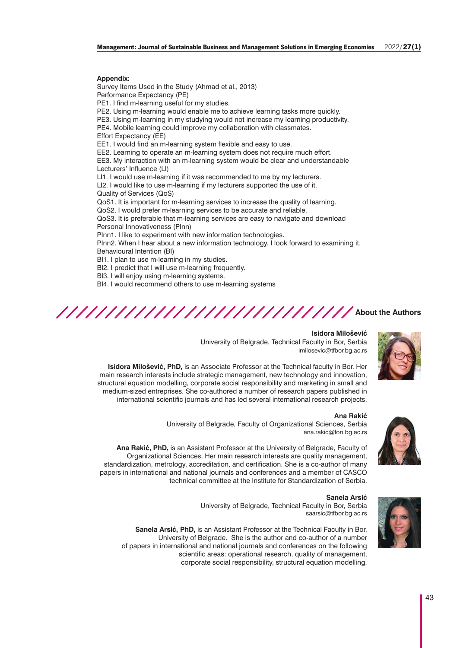#### **Appendix:**

Survey Items Used in the Study (Ahmad et al., 2013) Performance Expectancy (PE) PE1. I find m-learning useful for my studies. PE2. Using m-learning would enable me to achieve learning tasks more quickly. PE3. Using m-learning in my studying would not increase my learning productivity. PE4. Mobile learning could improve my collaboration with classmates. Effort Expectancy (EE) EE1. I would find an m-learning system flexible and easy to use. EE2. Learning to operate an m-learning system does not require much effort. EE3. My interaction with an m-learning system would be clear and understandable Lecturers' Influence (LI) LI1. I would use m-learning if it was recommended to me by my lecturers. LI2. I would like to use m-learning if my lecturers supported the use of it. Quality of Services (QoS) QoS1. It is important for m-learning services to increase the quality of learning. QoS2. I would prefer m-learning services to be accurate and reliable. QoS3. It is preferable that m-learning services are easy to navigate and download Personal Innovativeness (PInn) PInn1. I like to experiment with new information technologies. PInn2. When I hear about a new information technology, I look forward to examining it. Behavioural Intention (BI) BI1. I plan to use m-learning in my studies. BI2. I predict that I will use m-learning frequently.

BI3. I will enjoy using m-learning systems.

BI4. I would recommend others to use m-learning systems





**Isidora Milošević**

University of Belgrade, Technical Faculty in Bor, Serbia imilosevic@tfbor.bg.ac.rs

**Isidora Milošević, PhD,** is an Associate Professor at the Technical faculty in Bor. Her main research interests include strategic management, new technology and innovation, structural equation modelling, corporate social responsibility and marketing in small and medium-sized entreprises. She co-authored a number of research papers published in international scientific journals and has led several international research projects.



**Ana Rakić**

University of Belgrade, Faculty of Organizational Sciences, Serbia ana.rakic@fon.bg.ac.rs

**Ana Rakić, PhD,** is an Assistant Professor at the University of Belgrade, Faculty of Organizational Sciences. Her main research interests are quality management, standardization, metrology, accreditation, and certification. She is a co-author of many papers in international and national journals and conferences and a member of CASCO technical committee at the Institute for Standardization of Serbia.



### **Sanela Arsić**

University of Belgrade, Technical Faculty in Bor, Serbia saarsic@tfbor.bg.ac.rs

**Sanela Arsić, PhD,** is an Assistant Professor at the Technical Faculty in Bor, University of Belgrade. She is the author and co-author of a number of papers in international and national journals and conferences on the following scientific areas: operational research, quality of management, corporate social responsibility, structural equation modelling.